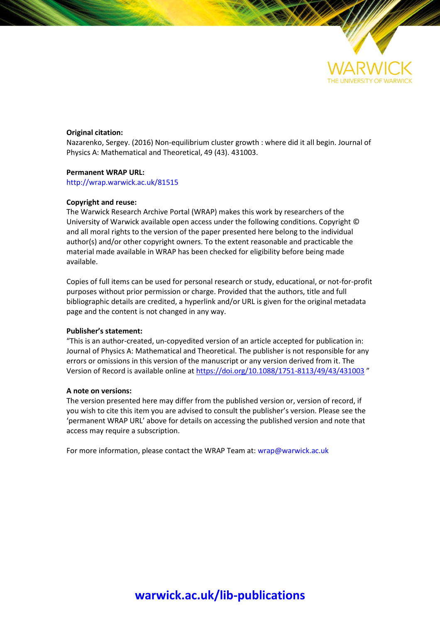

#### **Original citation:**

Nazarenko, Sergey. (2016) Non-equilibrium cluster growth : where did it all begin. Journal of Physics A: Mathematical and Theoretical, 49 (43). 431003.

#### **Permanent WRAP URL:**

<http://wrap.warwick.ac.uk/81515>

#### **Copyright and reuse:**

The Warwick Research Archive Portal (WRAP) makes this work by researchers of the University of Warwick available open access under the following conditions. Copyright © and all moral rights to the version of the paper presented here belong to the individual author(s) and/or other copyright owners. To the extent reasonable and practicable the material made available in WRAP has been checked for eligibility before being made available.

Copies of full items can be used for personal research or study, educational, or not-for-profit purposes without prior permission or charge. Provided that the authors, title and full bibliographic details are credited, a hyperlink and/or URL is given for the original metadata page and the content is not changed in any way.

#### **Publisher's statement:**

"This is an author-created, un-copyedited version of an article accepted for publication in: Journal of Physics A: Mathematical and Theoretical. The publisher is not responsible for any errors or omissions in this version of the manuscript or any version derived from it. The Version of Record is available online at<https://doi.org/10.1088/1751-8113/49/43/431003> "

#### **A note on versions:**

The version presented here may differ from the published version or, version of record, if you wish to cite this item you are advised to consult the publisher's version. Please see the 'permanent WRAP URL' above for details on accessing the published version and note that access may require a subscription.

For more information, please contact the WRAP Team at[: wrap@warwick.ac.uk](mailto:wrap@warwick.ac.uk)

## **[warwick.ac.uk/lib-publications](http://go.warwick.ac.uk/lib-publications)**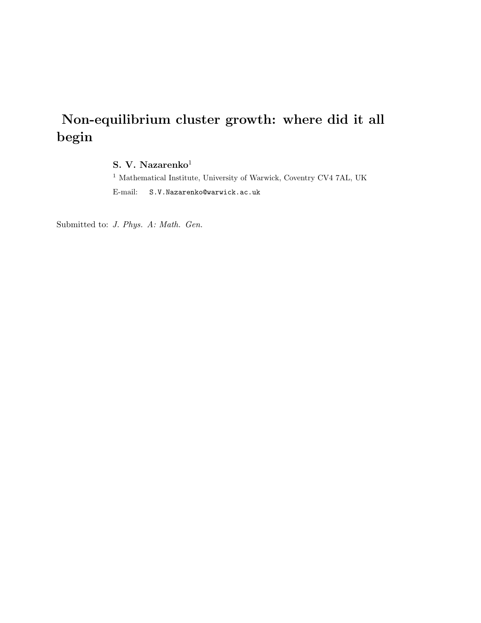# Non-equilibrium cluster growth: where did it all begin

### S. V. Nazarenko<sup>1</sup>

 $^{\rm 1}$  Mathematical Institute, University of Warwick, Coventry CV4 7AL, UK E-mail: S.V.Nazarenko@warwick.ac.uk

Submitted to: J. Phys. A: Math. Gen.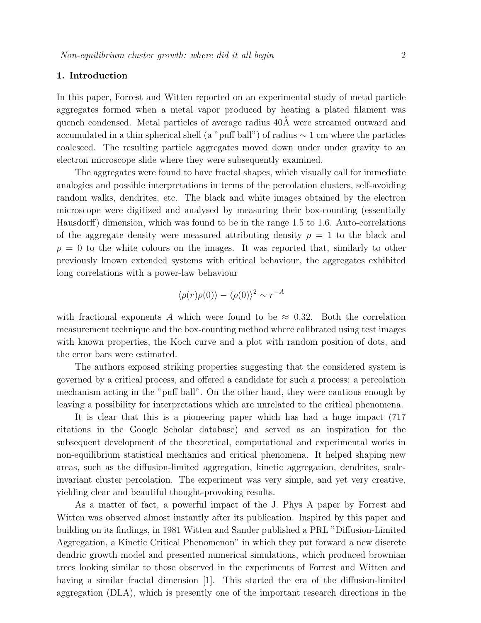#### 1. Introduction

In this paper, Forrest and Witten reported on an experimental study of metal particle aggregates formed when a metal vapor produced by heating a plated filament was quench condensed. Metal particles of average radius  $40\text{\AA}$  were streamed outward and accumulated in a thin spherical shell (a "puff ball") of radius ∼ 1 cm where the particles coalesced. The resulting particle aggregates moved down under under gravity to an electron microscope slide where they were subsequently examined.

The aggregates were found to have fractal shapes, which visually call for immediate analogies and possible interpretations in terms of the percolation clusters, self-avoiding random walks, dendrites, etc. The black and white images obtained by the electron microscope were digitized and analysed by measuring their box-counting (essentially Hausdorff) dimension, which was found to be in the range 1.5 to 1.6. Auto-correlations of the aggregate density were measured attributing density  $\rho = 1$  to the black and  $\rho = 0$  to the white colours on the images. It was reported that, similarly to other previously known extended systems with critical behaviour, the aggregates exhibited long correlations with a power-law behaviour

$$
\langle \rho(r)\rho(0)\rangle - \langle \rho(0)\rangle^2 \sim r^{-A}
$$

with fractional exponents A which were found to be  $\approx 0.32$ . Both the correlation measurement technique and the box-counting method where calibrated using test images with known properties, the Koch curve and a plot with random position of dots, and the error bars were estimated.

The authors exposed striking properties suggesting that the considered system is governed by a critical process, and offered a candidate for such a process: a percolation mechanism acting in the "puff ball". On the other hand, they were cautious enough by leaving a possibility for interpretations which are unrelated to the critical phenomena.

It is clear that this is a pioneering paper which has had a huge impact (717 citations in the Google Scholar database) and served as an inspiration for the subsequent development of the theoretical, computational and experimental works in non-equilibrium statistical mechanics and critical phenomena. It helped shaping new areas, such as the diffusion-limited aggregation, kinetic aggregation, dendrites, scaleinvariant cluster percolation. The experiment was very simple, and yet very creative, yielding clear and beautiful thought-provoking results.

As a matter of fact, a powerful impact of the J. Phys A paper by Forrest and Witten was observed almost instantly after its publication. Inspired by this paper and building on its findings, in 1981 Witten and Sander published a PRL "Diffusion-Limited Aggregation, a Kinetic Critical Phenomenon" in which they put forward a new discrete dendric growth model and presented numerical simulations, which produced brownian trees looking similar to those observed in the experiments of Forrest and Witten and having a similar fractal dimension [1]. This started the era of the diffusion-limited aggregation (DLA), which is presently one of the important research directions in the